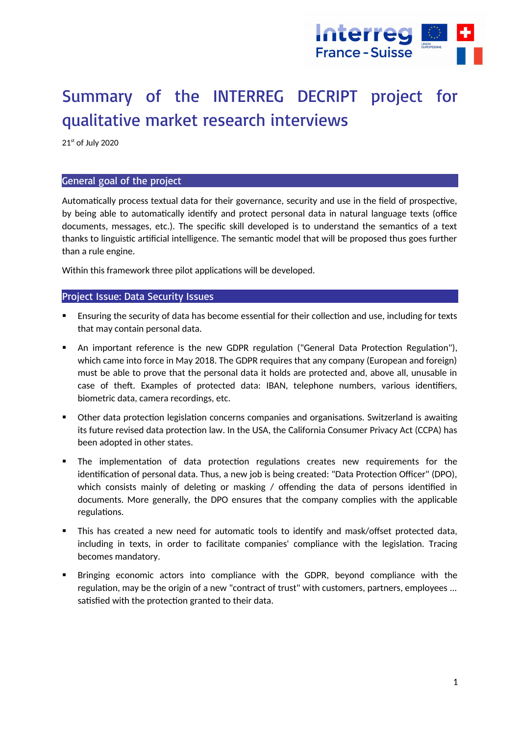

# Summary of the INTERREG DECRIPT project for qualitative market research interviews

21st of July 2020

## General goal of the project

Automatically process textual data for their governance, security and use in the field of prospective, by being able to automatically identify and protect personal data in natural language texts (office documents, messages, etc.). The specific skill developed is to understand the semantics of a text thanks to linguistic artificial intelligence. The semantic model that will be proposed thus goes further than a rule engine.

Within this framework three pilot applications will be developed.

# Project Issue: Data Security Issues

- Ensuring the security of data has become essential for their collection and use, including for texts that may contain personal data.
- An important reference is the new GDPR regulation ("General Data Protection Regulation"), which came into force in May 2018. The GDPR requires that any company (European and foreign) must be able to prove that the personal data it holds are protected and, above all, unusable in case of theft. Examples of protected data: IBAN, telephone numbers, various identifiers, biometric data, camera recordings, etc.
- Other data protection legislation concerns companies and organisations. Switzerland is awaiting its future revised data protection law. In the USA, the California Consumer Privacy Act (CCPA) has been adopted in other states.
- The implementation of data protection regulations creates new requirements for the identification of personal data. Thus, a new job is being created: "Data Protection Officer" (DPO), which consists mainly of deleting or masking / offending the data of persons identified in documents. More generally, the DPO ensures that the company complies with the applicable regulations.
- This has created a new need for automatic tools to identify and mask/offset protected data, including in texts, in order to facilitate companies' compliance with the legislation. Tracing becomes mandatory.
- Bringing economic actors into compliance with the GDPR, beyond compliance with the regulation, may be the origin of a new "contract of trust" with customers, partners, employees ... satisfied with the protection granted to their data.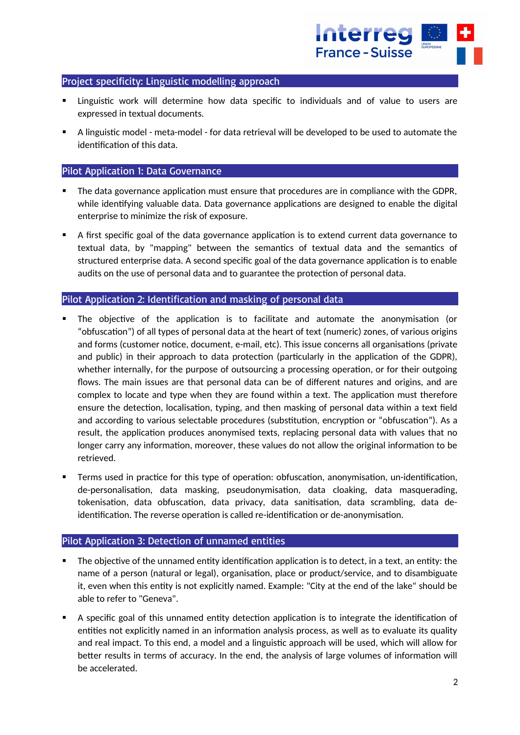

## Project specificity: Linguistic modelling approach

- Linguistic work will determine how data specific to individuals and of value to users are expressed in textual documents.
- A linguistic model meta-model for data retrieval will be developed to be used to automate the identification of this data.

## Pilot Application 1: Data Governance

- The data governance application must ensure that procedures are in compliance with the GDPR, while identifying valuable data. Data governance applications are designed to enable the digital enterprise to minimize the risk of exposure.
- A first specific goal of the data governance application is to extend current data governance to textual data, by "mapping" between the semantics of textual data and the semantics of structured enterprise data. A second specific goal of the data governance application is to enable audits on the use of personal data and to guarantee the protection of personal data.

# Pilot Application 2: Identification and masking of personal data

- The objective of the application is to facilitate and automate the anonymisation (or "obfuscation") of all types of personal data at the heart of text (numeric) zones, of various origins and forms (customer notice, document, e-mail, etc). This issue concerns all organisations (private and public) in their approach to data protection (particularly in the application of the GDPR), whether internally, for the purpose of outsourcing a processing operation, or for their outgoing flows. The main issues are that personal data can be of different natures and origins, and are complex to locate and type when they are found within a text. The application must therefore ensure the detection, localisation, typing, and then masking of personal data within a text field and according to various selectable procedures (substitution, encryption or "obfuscation"). As a result, the application produces anonymised texts, replacing personal data with values that no longer carry any information, moreover, these values do not allow the original information to be retrieved.
- Terms used in practice for this type of operation: obfuscation, anonymisation, un-identification, de-personalisation, data masking, pseudonymisation, data cloaking, data masquerading, tokenisation, data obfuscation, data privacy, data sanitisation, data scrambling, data deidentification. The reverse operation is called re-identification or de-anonymisation.

#### Pilot Application 3: Detection of unnamed entities

- The objective of the unnamed entity identification application is to detect, in a text, an entity: the name of a person (natural or legal), organisation, place or product/service, and to disambiguate it, even when this entity is not explicitly named. Example: "City at the end of the lake" should be able to refer to "Geneva".
- A specific goal of this unnamed entity detection application is to integrate the identification of entities not explicitly named in an information analysis process, as well as to evaluate its quality and real impact. To this end, a model and a linguistic approach will be used, which will allow for better results in terms of accuracy. In the end, the analysis of large volumes of information will be accelerated.